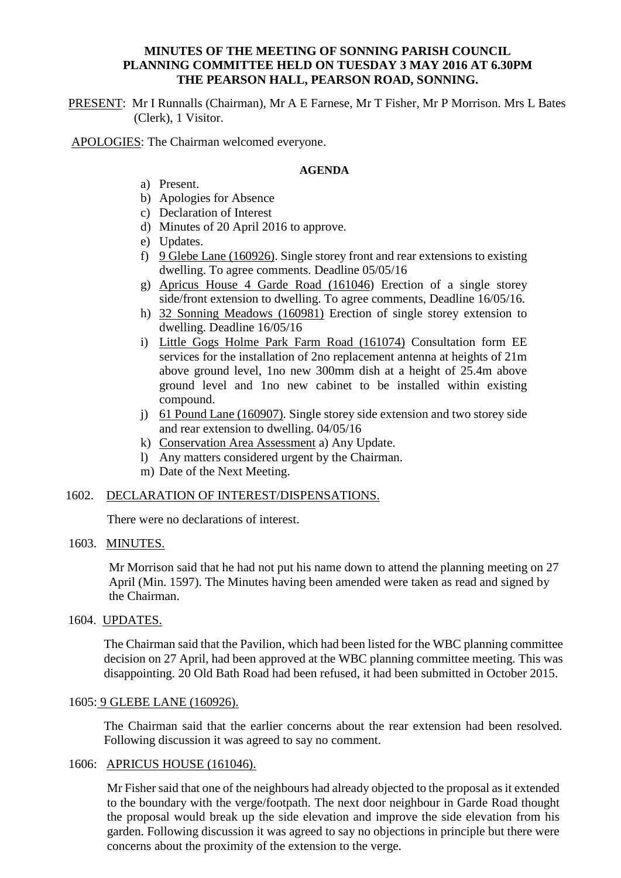## **MINUTES OF THE MEETING OF SONNING PARISH COUNCIL PLANNING COMMITTEE HELD ON TUESDAY 3 MAY 2016 AT 6.30PM THE PEARSON HALL, PEARSON ROAD, SONNING.**

PRESENT: Mr I Runnalls (Chairman), Mr A E Farnese, Mr T Fisher, Mr P Morrison. Mrs L Bates (Clerk), 1 Visitor.

APOLOGIES: The Chairman welcomed everyone.

### **AGENDA**

- a) Present.
- b) Apologies for Absence
- c) Declaration of Interest
- d) Minutes of 20 April 2016 to approve.
- e) Updates.
- f) 9 Glebe Lane (160926). Single storey front and rear extensions to existing dwelling. To agree comments. Deadline 05/05/16
- g) Apricus House 4 Garde Road (161046) Erection of a single storey side/front extension to dwelling. To agree comments, Deadline 16/05/16.
- h) 32 Sonning Meadows (160981) Erection of single storey extension to dwelling. Deadline 16/05/16
- i) Little Gogs Holme Park Farm Road (161074) Consultation form EE services for the installation of 2no replacement antenna at heights of 21m above ground level, 1no new 300mm dish at a height of 25.4m above ground level and 1no new cabinet to be installed within existing compound.
- j) 61 Pound Lane (160907). Single storey side extension and two storey side and rear extension to dwelling. 04/05/16
- k) Conservation Area Assessment a) Any Update.
- l) Any matters considered urgent by the Chairman.
- m) Date of the Next Meeting.

## 1602. DECLARATION OF INTEREST/DISPENSATIONS.

There were no declarations of interest.

## 1603. MINUTES.

 Mr Morrison said that he had not put his name down to attend the planning meeting on 27 April (Min. 1597). The Minutes having been amended were taken as read and signed by the Chairman.

1604. UPDATES.

The Chairman said that the Pavilion, which had been listed for the WBC planning committee decision on 27 April, had been approved at the WBC planning committee meeting. This was disappointing. 20 Old Bath Road had been refused, it had been submitted in October 2015.

## 1605: 9 GLEBE LANE (160926).

The Chairman said that the earlier concerns about the rear extension had been resolved. Following discussion it was agreed to say no comment.

# 1606: APRICUS HOUSE (161046).

Mr Fisher said that one of the neighbours had already objected to the proposal as it extended to the boundary with the verge/footpath. The next door neighbour in Garde Road thought the proposal would break up the side elevation and improve the side elevation from his garden. Following discussion it was agreed to say no objections in principle but there were concerns about the proximity of the extension to the verge.